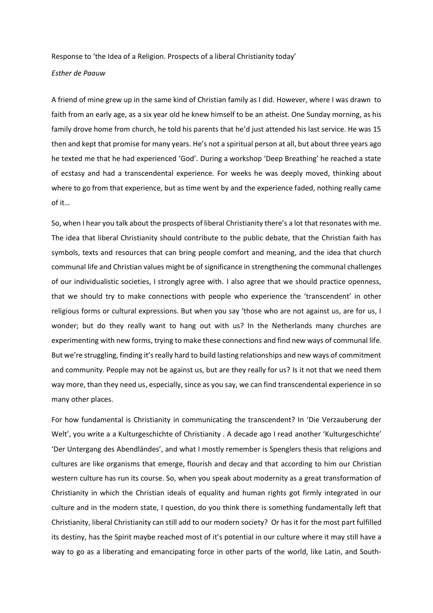Response to 'the Idea of a Religion. Prospects of a liberal Christianity today'

## *Esther de Paauw*

A friend of mine grew up in the same kind of Christian family as I did. However, where I was drawn to faith from an early age, as a six year old he knew himself to be an atheist. One Sunday morning, as his family drove home from church, he told his parents that he'd just attended his last service. He was 15 then and kept that promise for many years. He's not a spiritual person at all, but about three years ago he texted me that he had experienced 'God'. During a workshop 'Deep Breathing' he reached a state of ecstasy and had a transcendental experience. For weeks he was deeply moved, thinking about where to go from that experience, but as time went by and the experience faded, nothing really came of it…

So, when I hear you talk about the prospects of liberal Christianity there's a lot that resonates with me. The idea that liberal Christianity should contribute to the public debate, that the Christian faith has symbols, texts and resources that can bring people comfort and meaning, and the idea that church communal life and Christian values might be of significance in strengthening the communal challenges of our individualistic societies, I strongly agree with. I also agree that we should practice openness, that we should try to make connections with people who experience the 'transcendent' in other religious forms or cultural expressions. But when you say 'those who are not against us, are for us, I wonder; but do they really want to hang out with us? In the Netherlands many churches are experimenting with new forms, trying to make these connections and find new ways of communal life. But we're struggling, finding it's really hard to build lasting relationships and new ways of commitment and community. People may not be against us, but are they really for us? Is it not that we need them way more, than they need us, especially, since as you say, we can find transcendental experience in so many other places.

For how fundamental is Christianity in communicating the transcendent? In 'Die Verzauberung der Welt', you write a a Kulturgeschichte of Christianity . A decade ago I read another 'Kulturgeschichte' 'Der Untergang des Abendländes', and what I mostly remember is Spenglers thesis that religions and cultures are like organisms that emerge, flourish and decay and that according to him our Christian western culture has run its course. So, when you speak about modernity as a great transformation of Christianity in which the Christian ideals of equality and human rights got firmly integrated in our culture and in the modern state, I question, do you think there is something fundamentally left that Christianity, liberal Christianity can still add to our modern society? Or has it for the most part fulfilled its destiny, has the Spirit maybe reached most of it's potential in our culture where it may still have a way to go as a liberating and emancipating force in other parts of the world, like Latin, and South